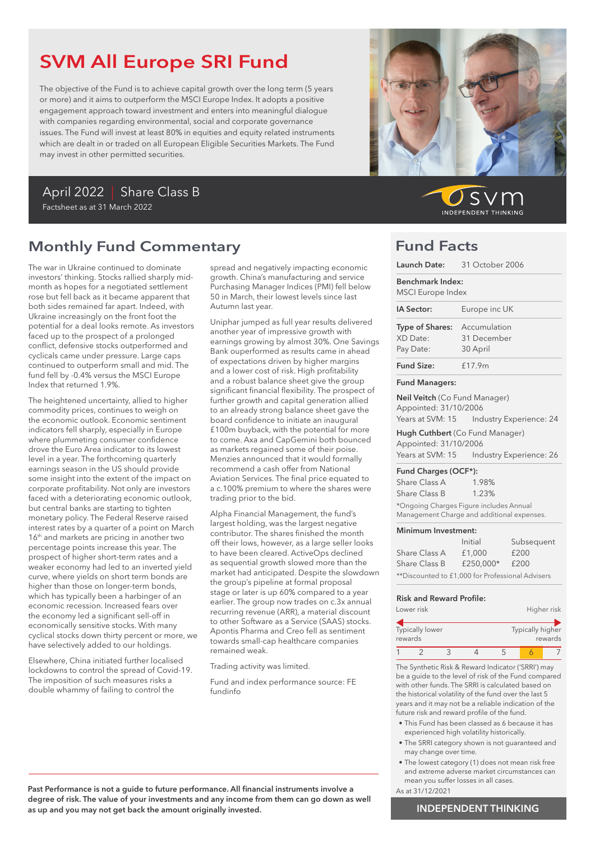# SVM All Europe SRI Fund

The objective of the Fund is to achieve capital growth over the long term (5 years or more) and it aims to outperform the MSCI Europe Index. It adopts a positive engagement approach toward investment and enters into meaningful dialogue with companies regarding environmental, social and corporate governance issues. The Fund will invest at least 80% in equities and equity related instruments which are dealt in or traded on all European Eligible Securities Markets. The Fund may invest in other permitted securities.

### April 2022 | Share Class B Factsheet as at 31 March 2022

## Monthly Fund Commentary

The war in Ukraine continued to dominate investors' thinking. Stocks rallied sharply midmonth as hopes for a negotiated settlement rose but fell back as it became apparent that both sides remained far apart. Indeed, with Ukraine increasingly on the front foot the potential for a deal looks remote. As investors faced up to the prospect of a prolonged conflict, defensive stocks outperformed and cyclicals came under pressure. Large caps continued to outperform small and mid. The fund fell by -0.4% versus the MSCI Europe Index that returned 1.9%.

The heightened uncertainty, allied to higher commodity prices, continues to weigh on the economic outlook. Economic sentiment indicators fell sharply, especially in Europe where plummeting consumer confidence drove the Euro Area indicator to its lowest level in a year. The forthcoming quarterly earnings season in the US should provide some insight into the extent of the impact on corporate profitability. Not only are investors faced with a deteriorating economic outlook, but central banks are starting to tighten monetary policy. The Federal Reserve raised interest rates by a quarter of a point on March 16<sup>th</sup> and markets are pricing in another two percentage points increase this year. The prospect of higher short-term rates and a weaker economy had led to an inverted yield curve, where yields on short term bonds are higher than those on longer-term bonds, which has typically been a harbinger of an economic recession. Increased fears over the economy led a significant sell-off in economically sensitive stocks. With many cyclical stocks down thirty percent or more, we have selectively added to our holdings.

Elsewhere, China initiated further localised lockdowns to control the spread of Covid-19. The imposition of such measures risks a double whammy of failing to control the

spread and negatively impacting economic growth. China's manufacturing and service Purchasing Manager Indices (PMI) fell below 50 in March, their lowest levels since last Autumn last year.

Uniphar jumped as full year results delivered another year of impressive growth with earnings growing by almost 30%. One Savings Bank ouperformed as results came in ahead of expectations driven by higher margins and a lower cost of risk. High profitability and a robust balance sheet give the group significant financial flexibility. The prospect of further growth and capital generation allied to an already strong balance sheet gave the board confidence to initiate an inaugural £100m buyback, with the potential for more to come. Axa and CapGemini both bounced as markets regained some of their poise. Menzies announced that it would formally recommend a cash offer from National Aviation Services. The final price equated to a c.100% premium to where the shares were trading prior to the bid.

Alpha Financial Management, the fund's largest holding, was the largest negative contributor. The shares finished the month off their lows, however, as a large seller looks to have been cleared. ActiveOps declined as sequential growth slowed more than the market had anticipated. Despite the slowdown the group's pipeline at formal proposal stage or later is up 60% compared to a year earlier. The group now trades on c.3x annual recurring revenue (ARR), a material discount to other Software as a Service (SAAS) stocks. Apontis Pharma and Creo fell as sentiment towards small-cap healthcare companies remained weak.

Trading activity was limited.

Fund and index performance source: FE fundinfo



 $\mathcal{S}$ **INDEPENDENT THINKING** 

## Fund Facts

|                                                              | Launch Date: 31 October 2006                                                   |
|--------------------------------------------------------------|--------------------------------------------------------------------------------|
| <b>Benchmark Index:</b><br>MSCI Europe Index                 |                                                                                |
| IA Sector:                                                   | Europe inc UK                                                                  |
| <b>Type of Shares:</b> Accumulation<br>XD Date:<br>Pay Date: | 31 December<br>30 April                                                        |
| <b>Fund Size:</b>                                            | £17.9m                                                                         |
| <b>Fund Managers:</b>                                        |                                                                                |
| Neil Veitch (Co Fund Manager)<br>Appointed: 31/10/2006       | Years at SVM: 15    Industry Experience: 24                                    |
| Appointed: 31/10/2006                                        | Hugh Cuthbert (Co Fund Manager)<br>Years at SVM: 15    Industry Experience: 26 |
| Fund Charges (OCF*):                                         |                                                                                |

Share Class A 1.98% Share Class B 1.23% \*Ongoing Charges Figure includes Annual Management Charge and additional expenses.

#### Minimum Investment:

|                                                  | Initial   | Subsequent |  |  |
|--------------------------------------------------|-----------|------------|--|--|
| Share Class A                                    | £1,000    | £200       |  |  |
| Share Class B                                    | £250.000* | £200       |  |  |
| **Discounted to £1,000 for Professional Advisers |           |            |  |  |

#### Risk and Reward Profile:

|         | Lower risk      |  |                  | Higher risk |
|---------|-----------------|--|------------------|-------------|
| rewards | Typically lower |  | Typically higher | rewards     |
|         |                 |  |                  |             |

The Synthetic Risk & Reward Indicator ('SRRI') may be a guide to the level of risk of the Fund compared with other funds. The SRRI is calculated based on the historical volatility of the fund over the last 5 years and it may not be a reliable indication of the future risk and reward profile of the fund.

- This Fund has been classed as 6 because it has experienced high volatility historically.
- The SRRI category shown is not guaranteed and may change over time.
- The lowest category (1) does not mean risk free and extreme adverse market circumstances can mean you suffer losses in all cases. As at 31/12/2021

Past Performance is not a guide to future performance. All financial instruments involve a degree of risk. The value of your investments and any income from them can go down as well as up and you may not get back the amount originally invested.

INDEPENDENT THINKING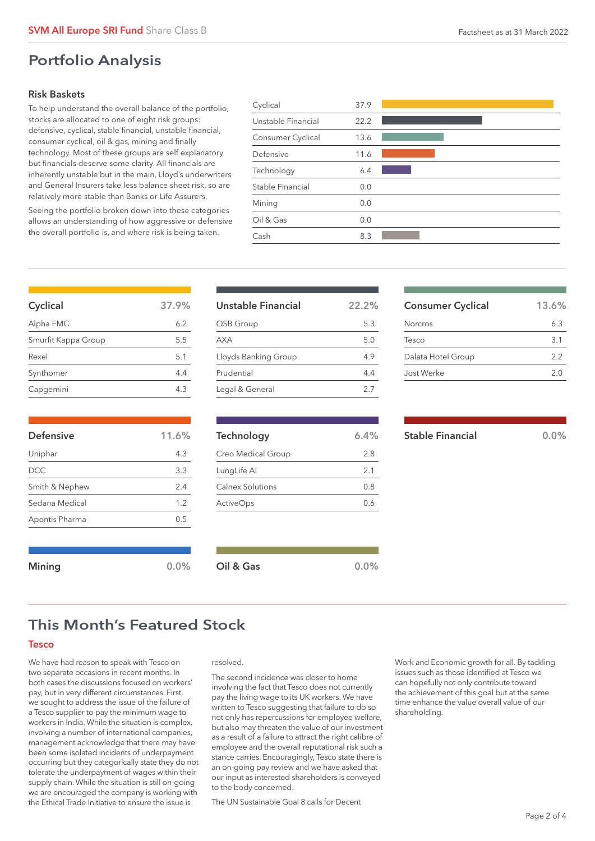### Portfolio Analysis

### Risk Baskets

To help understand the overall balance of the portfolio, stocks are allocated to one of eight risk groups: defensive, cyclical, stable financial, unstable financial, consumer cyclical, oil & gas, mining and finally technology. Most of these groups are self explanatory but financials deserve some clarity. All financials are inherently unstable but in the main, Lloyd's underwriters and General Insurers take less balance sheet risk, so are relatively more stable than Banks or Life Assurers.

Seeing the portfolio broken down into these categories allows an understanding of how aggressive or defensive the overall portfolio is, and where risk is being taken.

| Cyclical           | 37.9 |  |
|--------------------|------|--|
| Unstable Financial | 22.2 |  |
| Consumer Cyclical  | 13.6 |  |
| Defensive          | 11.6 |  |
| Technology         | 6.4  |  |
| Stable Financial   | 0.0  |  |
| Mining             | 0.0  |  |
| Oil & Gas          | 0.0  |  |
| Cash               | 8.3  |  |
|                    |      |  |

| Cyclical            | 37.9% |
|---------------------|-------|
| Alpha FMC           | 6.2   |
| Smurfit Kappa Group | 5.5   |
| Rexel               | 5.1   |
| Synthomer           | 4.4   |
| Capgemini           | 43    |

| <b>Defensive</b> | 11.6% |
|------------------|-------|
| Uniphar          | 4.3   |
| DCC.             | 3.3   |
| Smith & Nephew   | 2.4   |
| Sedana Medical   | 1.2   |
| Apontis Pharma   | 0.5   |
|                  |       |

| Unstable Financial   | 22.2% |
|----------------------|-------|
| OSB Group            | 5.3   |
| <b>AXA</b>           | 5.0   |
| Lloyds Banking Group | 49    |
| Prudential           | 4.4   |
| Legal & General      | 2.7   |

| Technology         | 6.4% |
|--------------------|------|
| Creo Medical Group | 2.8  |
| LungLife Al        | 2.1  |
| Calnex Solutions   | 0.8  |
| <b>ActiveOps</b>   | () ለ |
|                    |      |

## Stable Financial 0.0%

Consumer Cyclical 13.6% Norcros 6.3 Tesco 3.1 Dalata Hotel Group 2.2 Jost Werke 2.0

## This Month's Featured Stock

### Tesco

We have had reason to speak with Tesco on two separate occasions in recent months. In both cases the discussions focused on workers' pay, but in very different circumstances. First, we sought to address the issue of the failure of a Tesco supplier to pay the minimum wage to workers in India. While the situation is complex, involving a number of international companies, management acknowledge that there may have been some isolated incidents of underpayment occurring but they categorically state they do not tolerate the underpayment of wages within their supply chain. While the situation is still on-going we are encouraged the company is working with the Ethical Trade Initiative to ensure the issue is

#### resolved.

Mining 0.0% Oil & Gas 0.0% 0.0%

The second incidence was closer to home involving the fact that Tesco does not currently pay the living wage to its UK workers. We have written to Tesco suggesting that failure to do so not only has repercussions for employee welfare, but also may threaten the value of our investment as a result of a failure to attract the right calibre of employee and the overall reputational risk such a stance carries. Encouragingly, Tesco state there is an on-going pay review and we have asked that our input as interested shareholders is conveyed to the body concerned.

The UN Sustainable Goal 8 calls for Decent

Work and Economic growth for all. By tackling issues such as those identified at Tesco we can hopefully not only contribute toward the achievement of this goal but at the same time enhance the value overall value of our shareholding.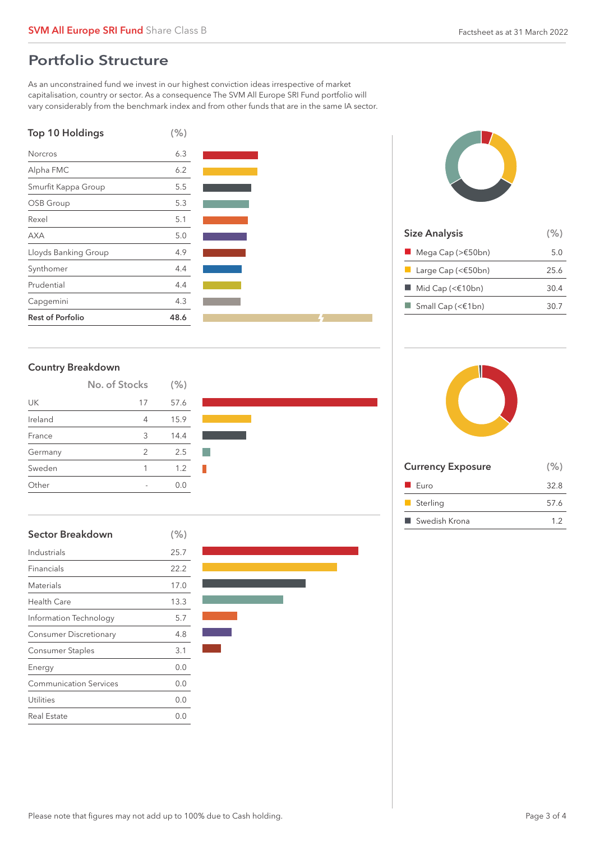## Portfolio Structure

As an unconstrained fund we invest in our highest conviction ideas irrespective of market capitalisation, country or sector. As a consequence The SVM All Europe SRI Fund portfolio will vary considerably from the benchmark index and from other funds that are in the same IA sector.





|         | No. of Stocks | (% ) |  |
|---------|---------------|------|--|
| UK      | 17            | 57.6 |  |
| Ireland | 4             | 15.9 |  |
| France  | 3             | 14.4 |  |
| Germany | 2             | 2.5  |  |
| Sweden  | 1             | 1.2  |  |
| )ther   |               | 0.0  |  |

| Sector Breakdown              | (% ) |
|-------------------------------|------|
| Industrials                   | 25.7 |
| Financials                    | 22.2 |
| Materials                     | 17.0 |
| <b>Health Care</b>            | 13.3 |
| Information Technology        | 5.7  |
| <b>Consumer Discretionary</b> | 4.8  |
| Consumer Staples              | 3.1  |
| Energy                        | 0.0  |
| <b>Communication Services</b> | 0.0  |
| Utilities                     | 0.0  |
| Real Estate                   | 0.0  |





| <b>Size Analysis</b>                        | (% ) |
|---------------------------------------------|------|
| $\blacksquare$ Mega Cap (> $\epsilon$ 50bn) | 5.0  |
| Large Cap (< $\epsilon$ 50bn)               | 25.6 |
| $\blacksquare$ Mid Cap (< $\in$ 10bn)       | 30.4 |
| $\Box$ Small Cap (< $\in$ 1bn)              | 30.7 |
|                                             |      |



| <b>Currency Exposure</b> | (% ) |
|--------------------------|------|
| $\blacksquare$ Euro      | 32.8 |
| Sterling                 | 57.6 |
| ■ Swedish Krona          | 1.2  |
|                          |      |